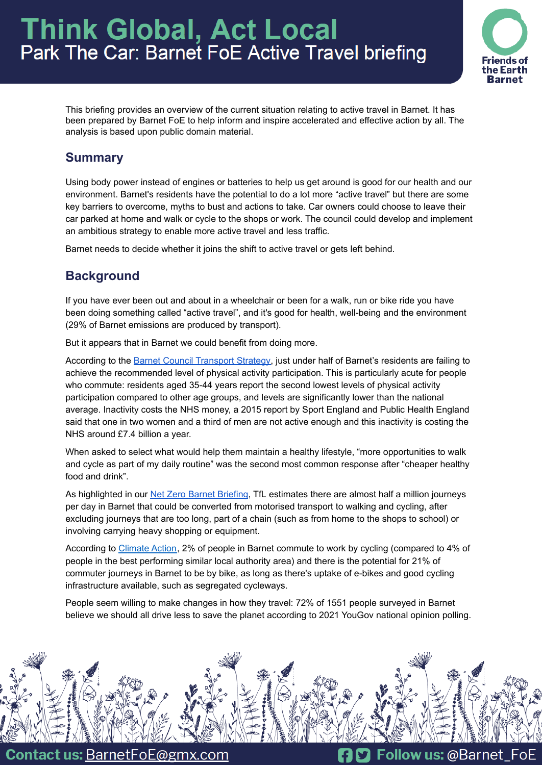# **Think Global, Act Local** Park The Car: Barnet FoE Active Travel briefing



This briefing provides an overview of the current situation relating to active travel in Barnet. It has been prepared by Barnet FoE to help inform and inspire accelerated and effective action by all. The analysis is based upon public domain material.

# **Summary**

Using body power instead of engines or batteries to help us get around is good for our health and our environment. Barnet's residents have the potential to do a lot more "active travel" but there are some key barriers to overcome, myths to bust and actions to take. Car owners could choose to leave their car parked at home and walk or cycle to the shops or work. The council could develop and implement an ambitious strategy to enable more active travel and less traffic.

Barnet needs to decide whether it joins the shift to active travel or gets left behind.

# **Background**

If you have ever been out and about in a wheelchair or been for a walk, run or bike ride you have been doing something called "active travel", and it's good for health, well-being and the environment (29% of Barnet emissions are produced by transport).

But it appears that in Barnet we could benefit from doing more.

According to the Barnet Council [Transport](https://www.barnet.gov.uk/sites/default/files/2021-10/Barnet%20LTTS%20v8.pdf) Strategy, just under half of Barnet's residents are failing to achieve the recommended level of physical activity participation. This is particularly acute for people who commute: residents aged 35-44 years report the second lowest levels of physical activity participation compared to other age groups, and levels are significantly lower than the national average. Inactivity costs the NHS money, a 2015 report by Sport England and Public Health England said that one in two women and a third of men are not active enough and this inactivity is costing the NHS around £7.4 billion a year.

When asked to select what would help them maintain a healthy lifestyle, "more opportunities to walk and cycle as part of my daily routine" was the second most common response after "cheaper healthy food and drink".

As highlighted in our Net Zero Barnet [Briefing](https://actionnetwork.org/user_files/user_files/000/070/855/original/Net_Zero_Barnet_FoE_Briefing_Jan_2022.pdf), TfL estimates there are almost half a million journeys per day in Barnet that could be converted from motorised transport to walking and cycling, after excluding journeys that are too long, part of a chain (such as from home to the shops to school) or involving carrying heavy shopping or equipment.

According to [Climate](https://takeclimateaction.uk/near-you/barnet?postcode=nw71hp) Action, 2% of people in Barnet commute to work by cycling (compared to 4% of people in the best performing similar local authority area) and there is the potential for 21% of commuter journeys in Barnet to be by bike, as long as there's uptake of e-bikes and good cycling infrastructure available, such as segregated cycleways.

People seem willing to make changes in how they travel: 72% of 1551 people surveyed in Barnet believe we should all drive less to save the planet according to 2021 YouGov national opinion polling.



**Contact us: BarnetFoE@gmx.com** 

**D** Follow us: @Barnet\_FoE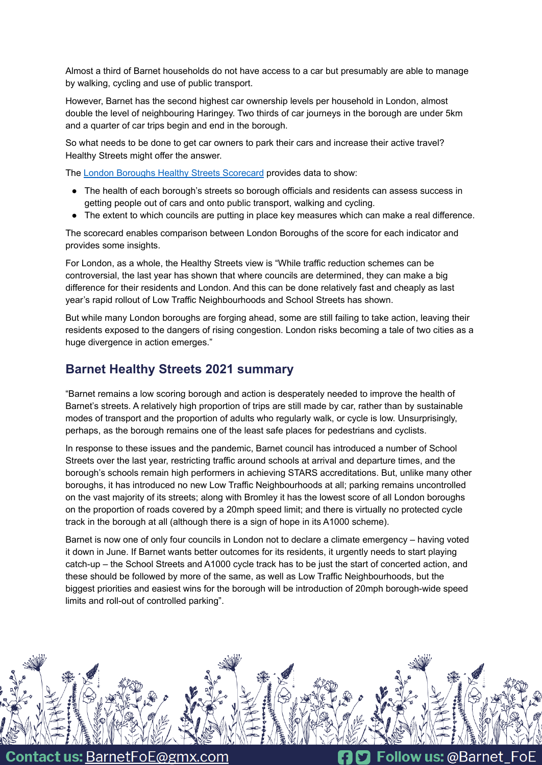Almost a third of Barnet households do not have access to a car but presumably are able to manage by walking, cycling and use of public transport.

However, Barnet has the second highest car ownership levels per household in London, almost double the level of neighbouring Haringey. Two thirds of car journeys in the borough are under 5km and a quarter of car trips begin and end in the borough.

So what needs to be done to get car owners to park their cars and increase their active travel? Healthy Streets might offer the answer.

The London Boroughs Healthy Streets [Scorecard](https://www.healthystreetsscorecard.london/) provides data to show:

- The health of each borough's streets so borough officials and residents can assess success in getting people out of cars and onto public transport, walking and cycling.
- The extent to which councils are putting in place key measures which can make a real difference.

The scorecard enables comparison between London Boroughs of the score for each indicator and provides some insights.

For London, as a whole, the Healthy Streets view is "While traffic reduction schemes can be controversial, the last year has shown that where councils are determined, they can make a big difference for their residents and London. And this can be done relatively fast and cheaply as last year's rapid rollout of Low Traffic Neighbourhoods and School Streets has shown.

But while many London boroughs are forging ahead, some are still failing to take action, leaving their residents exposed to the dangers of rising congestion. London risks becoming a tale of two cities as a huge divergence in action emerges."

## **Barnet Healthy Streets 2021 summary**

"Barnet remains a low scoring borough and action is desperately needed to improve the health of Barnet's streets. A relatively high proportion of trips are still made by car, rather than by sustainable modes of transport and the proportion of adults who regularly walk, or cycle is low. Unsurprisingly, perhaps, as the borough remains one of the least safe places for pedestrians and cyclists.

In response to these issues and the pandemic, Barnet council has introduced a number of School Streets over the last year, restricting traffic around schools at arrival and departure times, and the borough's schools remain high performers in achieving STARS accreditations. But, unlike many other boroughs, it has introduced no new Low Traffic Neighbourhoods at all; parking remains uncontrolled on the vast majority of its streets; along with Bromley it has the lowest score of all London boroughs on the proportion of roads covered by a 20mph speed limit; and there is virtually no protected cycle track in the borough at all (although there is a sign of hope in its A1000 scheme).

Barnet is now one of only four councils in London not to declare a climate emergency – having voted it down in June. If Barnet wants better outcomes for its residents, it urgently needs to start playing catch-up – the School Streets and A1000 cycle track has to be just the start of concerted action, and these should be followed by more of the same, as well as Low Traffic Neighbourhoods, but the biggest priorities and easiest wins for the borough will be introduction of 20mph borough-wide speed limits and roll-out of controlled parking".



**Contact us: BarnetFoE@gmx.com** 

Follow us: @Barnet\_FoE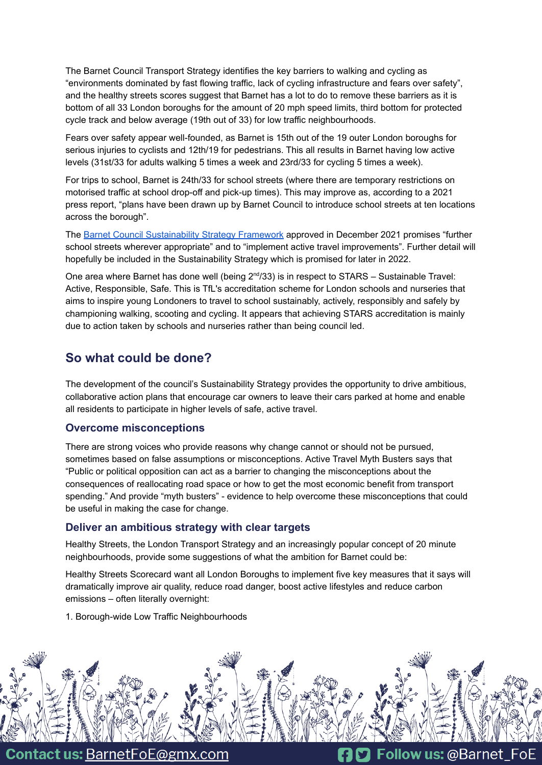The Barnet Council Transport Strategy identifies the key barriers to walking and cycling as "environments dominated by fast flowing traffic, lack of cycling infrastructure and fears over safety", and the healthy streets scores suggest that Barnet has a lot to do to remove these barriers as it is bottom of all 33 London boroughs for the amount of 20 mph speed limits, third bottom for protected cycle track and below average (19th out of 33) for low traffic neighbourhoods.

Fears over safety appear well-founded, as Barnet is 15th out of the 19 outer London boroughs for serious injuries to cyclists and 12th/19 for pedestrians. This all results in Barnet having low active levels (31st/33 for adults walking 5 times a week and 23rd/33 for cycling 5 times a week).

For trips to school, Barnet is 24th/33 for school streets (where there are temporary restrictions on motorised traffic at school drop-off and pick-up times). This may improve as, according to a 2021 press [report](https://www.times-series.co.uk/news/19187293.barnet-council-wants-feedback-school-streets-plans/), "plans have been drawn up by Barnet Council to introduce school streets at ten locations across the borough".

The Barnet Council [Sustainability](https://www.barnet.gov.uk/news/barnet-councils-sustainability-strategy-framework-proposes-organisational-net-zero-target-2030) Strategy Framework approved in December 2021 promises "further school streets wherever appropriate" and to "implement active travel improvements". Further detail will hopefully be included in the Sustainability Strategy which is promised for later in 2022.

One area where Barnet has done well (being  $2^{nd}/33$ ) is in respect to STARS – [Sustainable](https://stars.tfl.gov.uk/About/About) Travel: Active, [Responsible,](https://stars.tfl.gov.uk/About/About) Safe. This is TfL's accreditation scheme for London schools and nurseries that aims to inspire young Londoners to travel to school sustainably, actively, responsibly and safely by championing walking, scooting and cycling. It appears that achieving STARS accreditation is mainly due to action taken by schools and nurseries rather than being council led.

## **So what could be done?**

The development of the council's Sustainability Strategy provides the opportunity to drive ambitious, collaborative action plans that encourage car owners to leave their cars parked at home and enable all residents to participate in higher levels of safe, active travel.

### **Overcome misconceptions**

There are strong voices who provide reasons why change cannot or should not be pursued, sometimes based on false assumptions or misconceptions. Active Travel Myth [Busters](https://www.activetravel.org.uk/common-myths-and-misconceptions-2/) says that "Public or political opposition can act as a barrier to changing the misconceptions about the consequences of reallocating road space or how to get the most economic benefit from transport spending." And provide "myth busters" - evidence to help overcome these misconceptions that could be useful in making the case for change.

#### **Deliver an ambitious strategy with clear targets**

Healthy Streets, the London Transport Strategy and an increasingly popular concept of 20 minute neighbourhoods, provide some suggestions of what the ambition for Barnet could be:

Healthy Streets Scorecard want all London Boroughs to implement five key measures that it says will dramatically improve air quality, reduce road danger, boost active lifestyles and reduce carbon emissions – often literally overnight:

1. Borough-wide Low Traffic Neighbourhoods



**Contact us: BarnetFoE@gmx.com** 

**D** Follow us: @Barnet\_FoE